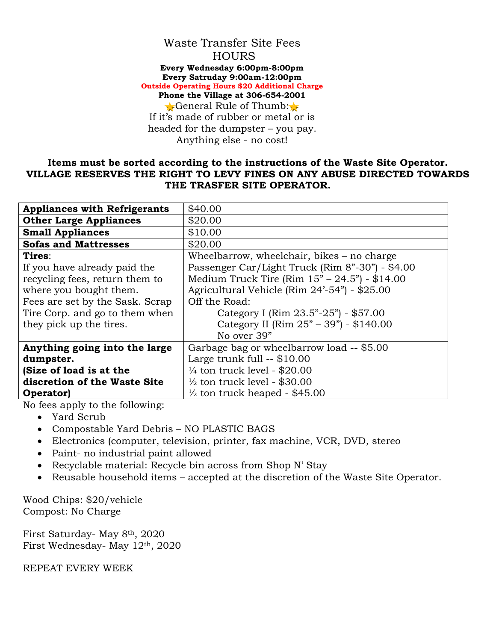### Waste Transfer Site Fees **HOURS Every Wednesday 6:00pm-8:00pm Every Satruday 9:00am-12:00pm Outside Operating Hours \$20 Additional Charge Phone the Village at 306-654-2001** General Rule of Thumb: If it's made of rubber or metal or is headed for the dumpster – you pay. Anything else - no cost!

## **Items must be sorted according to the instructions of the Waste Site Operator. VILLAGE RESERVES THE RIGHT TO LEVY FINES ON ANY ABUSE DIRECTED TOWARDS THE TRASFER SITE OPERATOR.**

| <b>Appliances with Refrigerants</b> | \$40.00                                          |
|-------------------------------------|--------------------------------------------------|
| <b>Other Large Appliances</b>       | \$20.00                                          |
| <b>Small Appliances</b>             | \$10.00                                          |
| <b>Sofas and Mattresses</b>         | \$20.00                                          |
| Tires:                              | Wheelbarrow, wheelchair, bikes – no charge       |
| If you have already paid the        | Passenger Car/Light Truck (Rim 8"-30") - \$4.00  |
| recycling fees, return them to      | Medium Truck Tire (Rim $15" - 24.5"$ ) - \$14.00 |
| where you bought them.              | Agricultural Vehicle (Rim 24'-54") - \$25.00     |
| Fees are set by the Sask. Scrap     | Off the Road:                                    |
| Tire Corp. and go to them when      | Category I (Rim 23.5"-25") - \$57.00             |
| they pick up the tires.             | Category II (Rim 25" – 39") - \$140.00           |
|                                     | No over 39"                                      |
| Anything going into the large       | Garbage bag or wheelbarrow load -- \$5.00        |
| dumpster.                           | Large trunk full $-$ \$10.00                     |
| (Size of load is at the             | $\frac{1}{4}$ ton truck level - \$20.00          |
| discretion of the Waste Site        | $\frac{1}{2}$ ton truck level - \$30.00          |
| Operator)                           | $\frac{1}{2}$ ton truck heaped - \$45.00         |

No fees apply to the following:

- Yard Scrub
- Compostable Yard Debris NO PLASTIC BAGS
- Electronics (computer, television, printer, fax machine, VCR, DVD, stereo
- Paint- no industrial paint allowed
- Recyclable material: Recycle bin across from Shop N' Stay
- Reusable household items accepted at the discretion of the Waste Site Operator.

Wood Chips: \$20/vehicle Compost: No Charge

First Saturday- May 8th, 2020 First Wednesday- May 12th, 2020

REPEAT EVERY WEEK